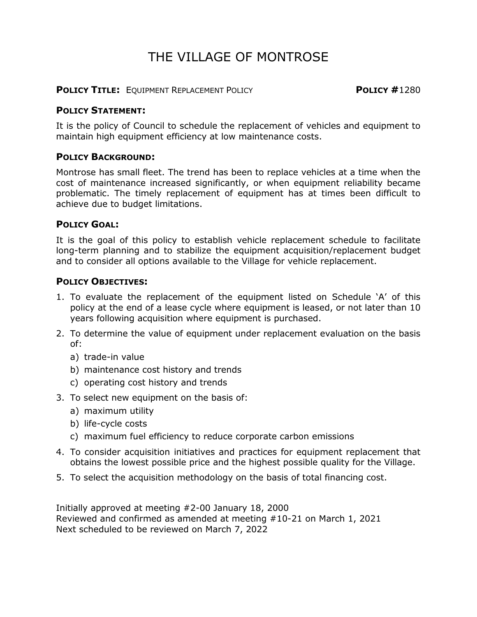# THE VILLAGE OF MONTROSE

**POLICY TITLE:** EQUIPMENT REPLACEMENT POLICY **POLICY #**1280

#### **POLICY STATEMENT:**

It is the policy of Council to schedule the replacement of vehicles and equipment to maintain high equipment efficiency at low maintenance costs.

#### **POLICY BACKGROUND:**

Montrose has small fleet. The trend has been to replace vehicles at a time when the cost of maintenance increased significantly, or when equipment reliability became problematic. The timely replacement of equipment has at times been difficult to achieve due to budget limitations.

#### **POLICY GOAL:**

It is the goal of this policy to establish vehicle replacement schedule to facilitate long-term planning and to stabilize the equipment acquisition/replacement budget and to consider all options available to the Village for vehicle replacement.

#### **POLICY OBJECTIVES:**

- 1. To evaluate the replacement of the equipment listed on Schedule 'A' of this policy at the end of a lease cycle where equipment is leased, or not later than 10 years following acquisition where equipment is purchased.
- 2. To determine the value of equipment under replacement evaluation on the basis of:
	- a) trade-in value
	- b) maintenance cost history and trends
	- c) operating cost history and trends
- 3. To select new equipment on the basis of:
	- a) maximum utility
	- b) life-cycle costs
	- c) maximum fuel efficiency to reduce corporate carbon emissions
- 4. To consider acquisition initiatives and practices for equipment replacement that obtains the lowest possible price and the highest possible quality for the Village.
- 5. To select the acquisition methodology on the basis of total financing cost.

Initially approved at meeting #2-00 January 18, 2000 Reviewed and confirmed as amended at meeting #10-21 on March 1, 2021 Next scheduled to be reviewed on March 7, 2022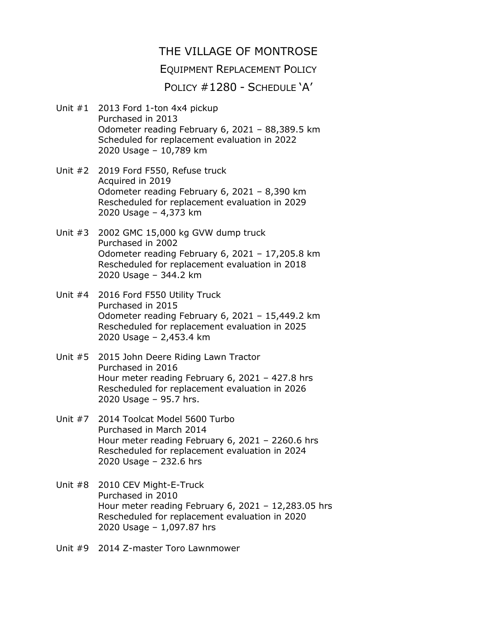## THE VILLAGE OF MONTROSE

### EQUIPMENT REPLACEMENT POLICY

POLICY #1280 - SCHEDULE 'A'

- Unit #1 2013 Ford 1-ton 4x4 pickup Purchased in 2013 Odometer reading February 6, 2021 – 88,389.5 km Scheduled for replacement evaluation in 2022 2020 Usage – 10,789 km
- Unit #2 2019 Ford F550, Refuse truck Acquired in 2019 Odometer reading February 6, 2021 – 8,390 km Rescheduled for replacement evaluation in 2029 2020 Usage – 4,373 km
- Unit #3 2002 GMC 15,000 kg GVW dump truck Purchased in 2002 Odometer reading February 6, 2021 – 17,205.8 km Rescheduled for replacement evaluation in 2018 2020 Usage – 344.2 km
- Unit #4 2016 Ford F550 Utility Truck Purchased in 2015 Odometer reading February 6, 2021 – 15,449.2 km Rescheduled for replacement evaluation in 2025 2020 Usage – 2,453.4 km
- Unit #5 2015 John Deere Riding Lawn Tractor Purchased in 2016 Hour meter reading February 6, 2021 – 427.8 hrs Rescheduled for replacement evaluation in 2026 2020 Usage – 95.7 hrs.
- Unit #7 2014 Toolcat Model 5600 Turbo Purchased in March 2014 Hour meter reading February 6, 2021 – 2260.6 hrs Rescheduled for replacement evaluation in 2024 2020 Usage – 232.6 hrs
- Unit #8 2010 CEV Might-E-Truck Purchased in 2010 Hour meter reading February 6, 2021 – 12,283.05 hrs Rescheduled for replacement evaluation in 2020 2020 Usage – 1,097.87 hrs
- Unit #9 2014 Z-master Toro Lawnmower